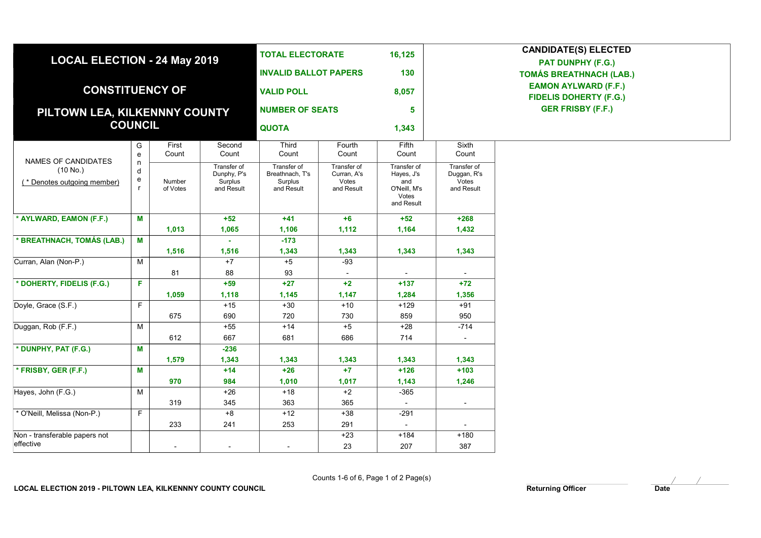| <b>LOCAL ELECTION - 24 May 2019</b><br><b>CONSTITUENCY OF</b><br>PILTOWN LEA, KILKENNNY COUNTY |                                                       |                    |                                                     | <b>TOTAL ELECTORATE</b><br><b>INVALID BALLOT PAPERS</b><br><b>VALID POLL</b><br><b>NUMBER OF SEATS</b><br><b>QUOTA</b> |                                                   | 16,125<br>130                                                           | <b>CANDIDATE(S) ELECTED</b><br><b>PAT DUNPHY (F.G.)</b><br><b>TOMÁS BREATHNACH (LAB.)</b><br><b>EAMON AYLWARD (F.F.)</b><br><b>FIDELIS DOHERTY (F.G.)</b><br><b>GER FRISBY (F.F.)</b> |  |
|------------------------------------------------------------------------------------------------|-------------------------------------------------------|--------------------|-----------------------------------------------------|------------------------------------------------------------------------------------------------------------------------|---------------------------------------------------|-------------------------------------------------------------------------|---------------------------------------------------------------------------------------------------------------------------------------------------------------------------------------|--|
|                                                                                                |                                                       |                    |                                                     |                                                                                                                        |                                                   | 8,057<br>5<br>1,343                                                     |                                                                                                                                                                                       |  |
| <b>COUNCIL</b>                                                                                 |                                                       |                    |                                                     |                                                                                                                        |                                                   |                                                                         |                                                                                                                                                                                       |  |
| NAMES OF CANDIDATES<br>(10 No.)<br>(* Denotes outgoing member)                                 | G<br>$\mathbf{e}% _{t}\left  \mathbf{1}\right\rangle$ | First<br>Count     | Second<br>Count                                     | Third<br>Count                                                                                                         | Fourth<br>Count                                   | Fifth<br>Count                                                          | Sixth<br>Count                                                                                                                                                                        |  |
|                                                                                                | n<br>d<br>e<br>$\mathsf{r}$                           | Number<br>of Votes | Transfer of<br>Dunphy, P's<br>Surplus<br>and Result | Transfer of<br>Breathnach, T's<br>Surplus<br>and Result                                                                | Transfer of<br>Curran, A's<br>Votes<br>and Result | Transfer of<br>Hayes, J's<br>and<br>O'Neill, M's<br>Votes<br>and Result | Transfer of<br>Duggan, R's<br>Votes<br>and Result                                                                                                                                     |  |
| * AYLWARD, EAMON (F.F.)                                                                        | M                                                     |                    | $+52$                                               | $+41$                                                                                                                  | $+6$                                              | $+52$                                                                   | $+268$                                                                                                                                                                                |  |
| * BREATHNACH, TOMÁS (LAB.)                                                                     | M                                                     | 1,013              | 1,065                                               | 1,106<br>$-173$                                                                                                        | 1,112                                             | 1,164                                                                   | 1,432                                                                                                                                                                                 |  |
| Curran, Alan (Non-P.)                                                                          | М                                                     | 1,516              | 1,516<br>$+7$                                       | 1,343<br>$+5$                                                                                                          | 1,343<br>$-93$                                    | 1,343                                                                   | 1,343                                                                                                                                                                                 |  |
|                                                                                                |                                                       | 81                 | 88                                                  | 93                                                                                                                     |                                                   |                                                                         |                                                                                                                                                                                       |  |
| * DOHERTY, FIDELIS (F.G.)                                                                      | F.                                                    |                    | $+59$                                               | $+27$                                                                                                                  | $+2$                                              | $+137$                                                                  | $+72$                                                                                                                                                                                 |  |
|                                                                                                |                                                       | 1,059              | 1,118                                               | 1,145                                                                                                                  | 1,147                                             | 1,284                                                                   | 1,356                                                                                                                                                                                 |  |
| Doyle, Grace (S.F.)                                                                            | F.                                                    |                    | $+15$                                               | $+30$                                                                                                                  | $+10$                                             | $+129$                                                                  | $+91$                                                                                                                                                                                 |  |
|                                                                                                |                                                       | 675                | 690                                                 | 720                                                                                                                    | 730                                               | 859                                                                     | 950                                                                                                                                                                                   |  |
| Duggan, Rob (F.F.)                                                                             | М                                                     |                    | $+55$                                               | $+14$                                                                                                                  | $+5$                                              | $+28$                                                                   | $-714$                                                                                                                                                                                |  |
|                                                                                                |                                                       | 612                | 667                                                 | 681                                                                                                                    | 686                                               | 714                                                                     | $\sim$                                                                                                                                                                                |  |
| * DUNPHY, PAT (F.G.)                                                                           | M                                                     |                    | $-236$                                              |                                                                                                                        |                                                   |                                                                         |                                                                                                                                                                                       |  |
|                                                                                                |                                                       | 1,579              | 1,343                                               | 1,343                                                                                                                  | 1,343                                             | 1,343                                                                   | 1,343                                                                                                                                                                                 |  |
| * FRISBY, GER (F.F.)                                                                           | M                                                     |                    | $+14$                                               | $+26$                                                                                                                  | $+7$                                              | $+126$                                                                  | $+103$                                                                                                                                                                                |  |
|                                                                                                |                                                       | 970                | 984                                                 | 1,010                                                                                                                  | 1,017                                             | 1,143                                                                   | 1,246                                                                                                                                                                                 |  |
| Hayes, John (F.G.)                                                                             | М                                                     |                    | $+26$                                               | $+18$                                                                                                                  | $+2$                                              | $-365$                                                                  |                                                                                                                                                                                       |  |
|                                                                                                |                                                       | 319                | 345                                                 | 363                                                                                                                    | 365                                               | $\blacksquare$                                                          | $\overline{\phantom{a}}$                                                                                                                                                              |  |
| * O'Neill, Melissa (Non-P.)                                                                    | F                                                     |                    | $+8$                                                | $+12$                                                                                                                  | $+38$                                             | $-291$                                                                  |                                                                                                                                                                                       |  |
|                                                                                                |                                                       | 233                | 241                                                 | 253                                                                                                                    | 291                                               | $\blacksquare$                                                          |                                                                                                                                                                                       |  |
| Non - transferable papers not<br>effective                                                     |                                                       |                    |                                                     |                                                                                                                        | $+23$                                             | $+184$                                                                  | $+180$                                                                                                                                                                                |  |
|                                                                                                |                                                       |                    | $\overline{\phantom{a}}$                            | $\overline{\phantom{a}}$                                                                                               | 23                                                | 207                                                                     | 387                                                                                                                                                                                   |  |